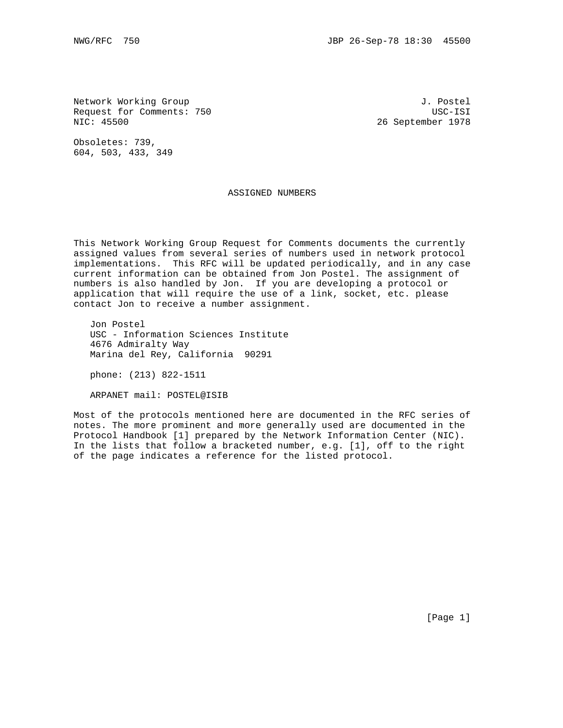Network Working Group 3. The Second Second Second Second Second J. Postel Request for Comments: 750 USC-ISI<br>NIC: 45500 USC-ISI

26 September 1978

Obsoletes: 739, 604, 503, 433, 349

#### ASSIGNED NUMBERS

This Network Working Group Request for Comments documents the currently assigned values from several series of numbers used in network protocol implementations. This RFC will be updated periodically, and in any case current information can be obtained from Jon Postel. The assignment of numbers is also handled by Jon. If you are developing a protocol or application that will require the use of a link, socket, etc. please contact Jon to receive a number assignment.

 Jon Postel USC - Information Sciences Institute 4676 Admiralty Way Marina del Rey, California 90291

phone: (213) 822-1511

ARPANET mail: POSTEL@ISIB

Most of the protocols mentioned here are documented in the RFC series of notes. The more prominent and more generally used are documented in the Protocol Handbook [1] prepared by the Network Information Center (NIC). In the lists that follow a bracketed number, e.g. [1], off to the right of the page indicates a reference for the listed protocol.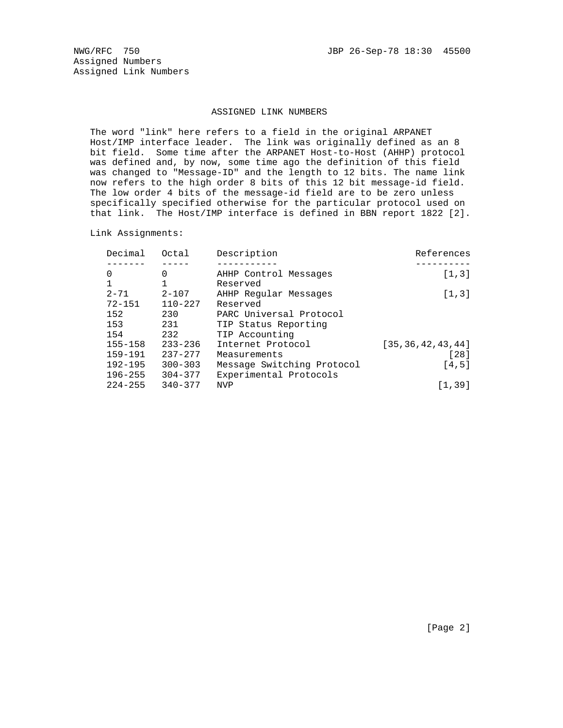Assigned Numbers Assigned Link Numbers

#### ASSIGNED LINK NUMBERS

 The word "link" here refers to a field in the original ARPANET Host/IMP interface leader. The link was originally defined as an 8 bit field. Some time after the ARPANET Host-to-Host (AHHP) protocol was defined and, by now, some time ago the definition of this field was changed to "Message-ID" and the length to 12 bits. The name link now refers to the high order 8 bits of this 12 bit message-id field. The low order 4 bits of the message-id field are to be zero unless specifically specified otherwise for the particular protocol used on that link. The Host/IMP interface is defined in BBN report 1822 [2].

Link Assignments:

| Decimal     | Octal       | Description                | References           |
|-------------|-------------|----------------------------|----------------------|
|             |             |                            |                      |
| 0           | 0           | AHHP Control Messages      | [1,3]                |
|             |             | Reserved                   |                      |
| $2 - 71$    | $2 - 107$   | AHHP Reqular Messages      | [1, 3]               |
| $72 - 151$  | $110 - 227$ | Reserved                   |                      |
| 152         | 230         | PARC Universal Protocol    |                      |
| 153         | 231         | TIP Status Reporting       |                      |
| 154         | 232         | TIP Accounting             |                      |
| $155 - 158$ | $233 - 236$ | Internet Protocol          | [35, 36, 42, 43, 44] |
| 159-191     | $237 - 277$ | Measurements               | $[28]$               |
| $192 - 195$ | $300 - 303$ | Message Switching Protocol | [4,5]                |
| $196 - 255$ | $304 - 377$ | Experimental Protocols     |                      |
| $224 - 255$ | $340 - 377$ | <b>NVP</b>                 | [1, 39]              |
|             |             |                            |                      |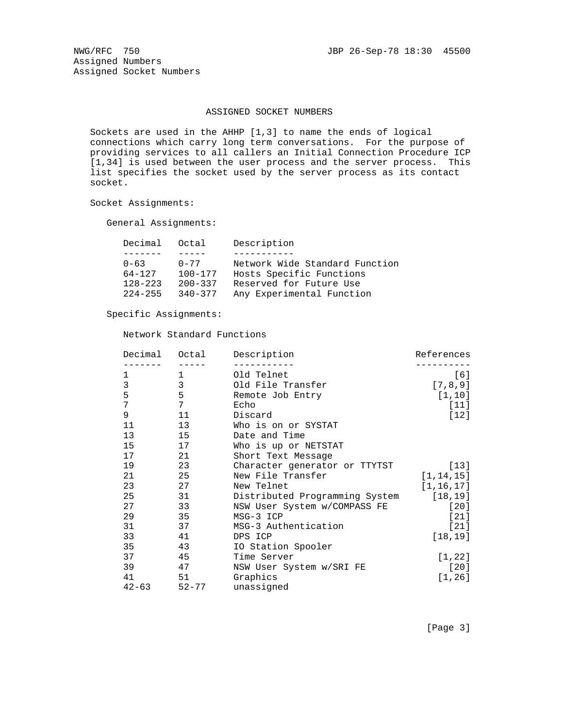Assigned Numbers Assigned Socket Numbers

#### ASSIGNED SOCKET NUMBERS

 Sockets are used in the AHHP [1,3] to name the ends of logical connections which carry long term conversations. For the purpose of providing services to all callers an Initial Connection Procedure ICP [1,34] is used between the user process and the server process. This list specifies the socket used by the server process as its contact socket.

Socket Assignments:

General Assignments:

| Decimal     | Octal       | Description                    |
|-------------|-------------|--------------------------------|
|             |             |                                |
| $0 - 63$    | $0 - 77$    | Network Wide Standard Function |
| 64-127      | $100 - 177$ | Hosts Specific Functions       |
| $128 - 223$ | $200 - 337$ | Reserved for Future Use        |
| $224 - 255$ | $340 - 377$ | Any Experimental Function      |

### Specific Assignments:

### Network Standard Functions

| Decimal   | Octal          | Description                            | References  |
|-----------|----------------|----------------------------------------|-------------|
| 1         | 1              | Old Telnet                             | $[6]$       |
| 3         | $\overline{3}$ | Old File Transfer                      | [7, 8, 9]   |
| 5         | 5              | Remote Job Entry                       | [1, 10]     |
| 7         | 7              | Echo                                   | $[11]$      |
| 9         | 11             | Discard                                | [12]        |
| 11        | 13             | Who is on or SYSTAT                    |             |
| 13        | 15             | Date and Time                          |             |
| 15        | 17             | Who is up or NETSTAT                   |             |
| 17        | 21             | Short Text Message                     |             |
| 19        | 23             | Character generator or TTYTST          | $[13]$      |
| 21        | 25             | New File Transfer                      | [1, 14, 15] |
| 23        | 27             | New Telnet                             | [1, 16, 17] |
| 25        | 31             | Distributed Programming System [18,19] |             |
| 27        | 33             | NSW User System w/COMPASS FE           | $[20]$      |
| 29        | 35             | MSG-3 ICP                              | $[21]$      |
| 31        | 37             | MSG-3 Authentication                   | $[21]$      |
| 33        | 41             | DPS ICP                                | [18, 19]    |
| 35        | 43             | IO Station Spooler                     |             |
| 37        | 45             | Time Server                            | [1, 22]     |
| 39        | 47             | NSW User System w/SRI FE               | $[20]$      |
| 41        | 51             | Graphics                               | [1, 26]     |
| $42 - 63$ | $52 - 77$      | unassigned                             |             |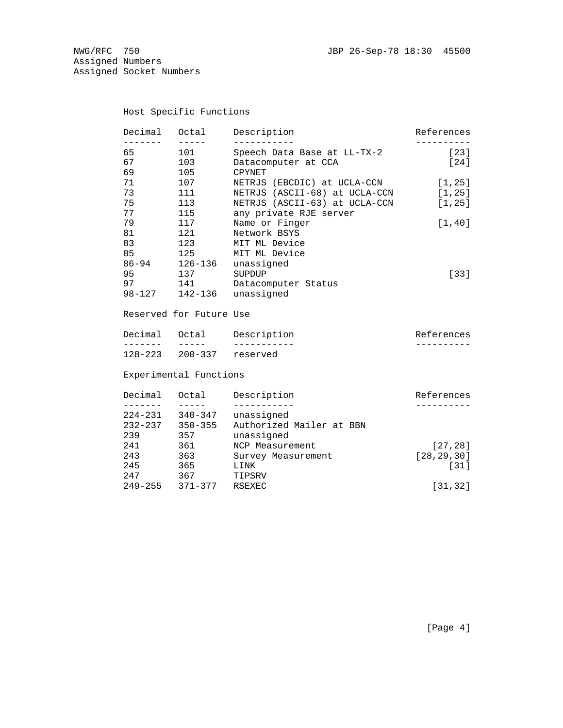Assigned Numbers Assigned Socket Numbers

# Host Specific Functions

| Decimal    | Octal   | Description                   | References |
|------------|---------|-------------------------------|------------|
|            |         |                               |            |
| 65         | 101     | Speech Data Base at LL-TX-2   | $[23]$     |
| 67         | 103     | Datacomputer at CCA           | $[24]$     |
| 69         | 105     | CPYNET                        |            |
| 71         | 107     | NETRJS (EBCDIC) at UCLA-CCN   | [1, 25]    |
| 73         | 111     | NETRJS (ASCII-68) at UCLA-CCN | [1, 25]    |
| 75         | 113     | NETRJS (ASCII-63) at UCLA-CCN | [1, 25]    |
| 77         | 115     | any private RJE server        |            |
| 79         | 117     | Name or Finger                | [1, 40]    |
| 81         | 121     | Network BSYS                  |            |
| 83         | 123     | MIT ML Device                 |            |
| 85         | 125     | MIT ML Device                 |            |
| $86 - 94$  | 126-136 | unassigned                    |            |
| 95         | 137     | SUPDUP                        | $[33]$     |
| 97         | 141     | Datacomputer Status           |            |
| $98 - 127$ | 142-136 | unassigned                    |            |
|            |         |                               |            |

# Reserved for Future Use

| Decimal     | Octal | Description      | References |
|-------------|-------|------------------|------------|
|             |       |                  |            |
| $128 - 223$ |       | 200–337 reserved |            |

# Experimental Functions

| Decimal     | Octal       | Description              | References   |
|-------------|-------------|--------------------------|--------------|
|             |             |                          |              |
| $224 - 231$ | $340 - 347$ | unassigned               |              |
| $232 - 237$ | $350 - 355$ | Authorized Mailer at BBN |              |
| 239         | 357         | unassigned               |              |
| 241         | 361         | NCP Measurement          | [27, 28]     |
| 243         | 363         | Survey Measurement       | [28, 29, 30] |
| 245         | 365         | LINK                     | $[31]$       |
| 2.47        | 367         | TIPSRV                   |              |
| $249 - 255$ | $371 - 377$ | RSEXEC                   | [31, 32]     |
|             |             |                          |              |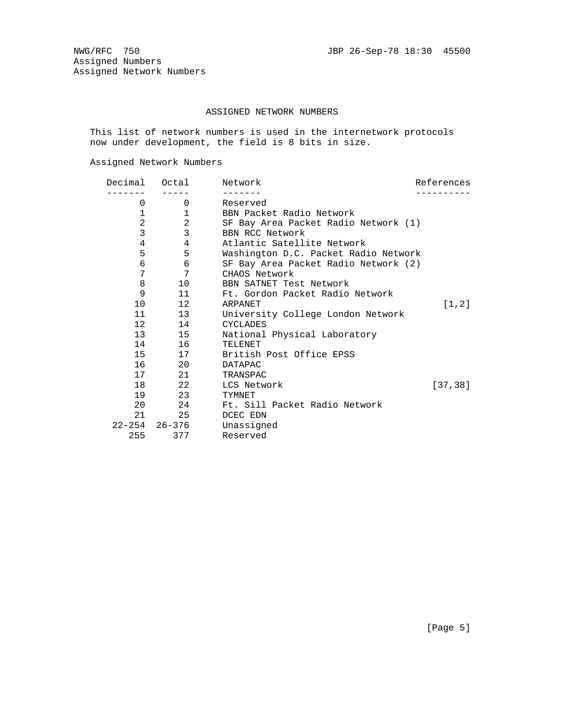### ASSIGNED NETWORK NUMBERS

 This list of network numbers is used in the internetwork protocols now under development, the field is 8 bits in size.

Assigned Network Numbers

| Decimal        | Octal                 | Network                              | References |
|----------------|-----------------------|--------------------------------------|------------|
| 0              | $0 \qquad \qquad$     | Reserved                             |            |
| 1              | $\mathbf{1}$          | BBN Packet Radio Network             |            |
| $\overline{a}$ | $\overline{2}$        | SF Bay Area Packet Radio Network (1) |            |
| 3              | 3                     | BBN RCC Network                      |            |
| 4              | 4                     | Atlantic Satellite Network           |            |
| 5              | 5                     | Washington D.C. Packet Radio Network |            |
| 6              | 6                     | SF Bay Area Packet Radio Network (2) |            |
| 7              | 7                     | CHAOS Network                        |            |
| 8              | 10                    | BBN SATNET Test Network              |            |
| 9              | 11                    | Ft. Gordon Packet Radio Network      |            |
| 10             | 12                    | ARPANET                              | [1, 2]     |
|                | 11<br>13              | University College London Network    |            |
|                | 12<br>14              | CYCLADES                             |            |
|                | 13<br>15              | National Physical Laboratory         |            |
|                | 16 1                  | TELENET                              |            |
|                | 15<br>17              | British Post Office EPSS             |            |
|                | 16 20                 | <b>DATAPAC</b>                       |            |
|                | 17 21                 | TRANSPAC                             |            |
|                | 18 22                 | LCS Network                          | [37, 38]   |
|                | 19<br>23              | TYMNET                               |            |
|                | 20 24                 | Ft. Sill Packet Radio Network        |            |
|                | 25                    | DCEC EDN                             |            |
|                | $22 - 254$ $26 - 376$ | Unassigned                           |            |
| 255            | 377                   | Reserved                             |            |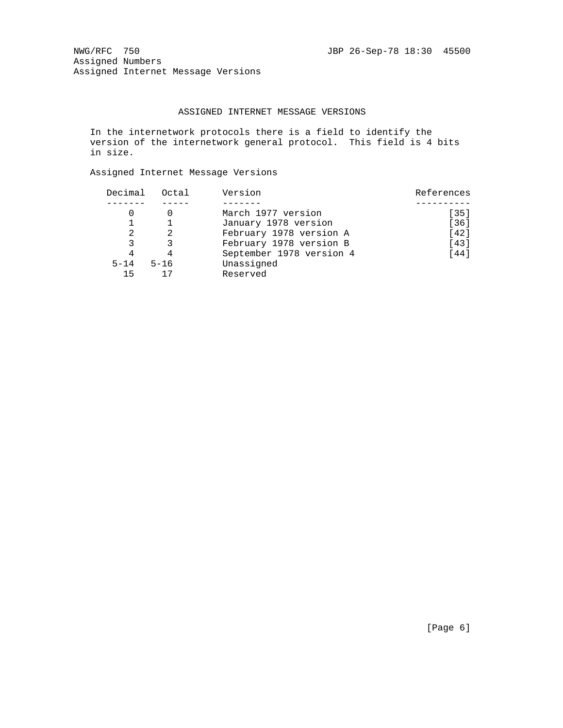NWG/RFC 750 30 30 30 30 30 30 45500 Assigned Numbers Assigned Internet Message Versions

### ASSIGNED INTERNET MESSAGE VERSIONS

 In the internetwork protocols there is a field to identify the version of the internetwork general protocol. This field is 4 bits in size.

Assigned Internet Message Versions

| Decimal  | Octal    | Version                  | References |
|----------|----------|--------------------------|------------|
|          |          |                          |            |
|          |          | March 1977 version       | $[35]$     |
|          |          | January 1978 version     | $[36]$     |
| 2        |          | February 1978 version A  | [42]       |
| 3        |          | February 1978 version B  | $[43]$     |
| 4        | 4        | September 1978 version 4 | $[44]$     |
| $5 - 14$ | $5 - 16$ | Unassigned               |            |
| 15       |          | Reserved                 |            |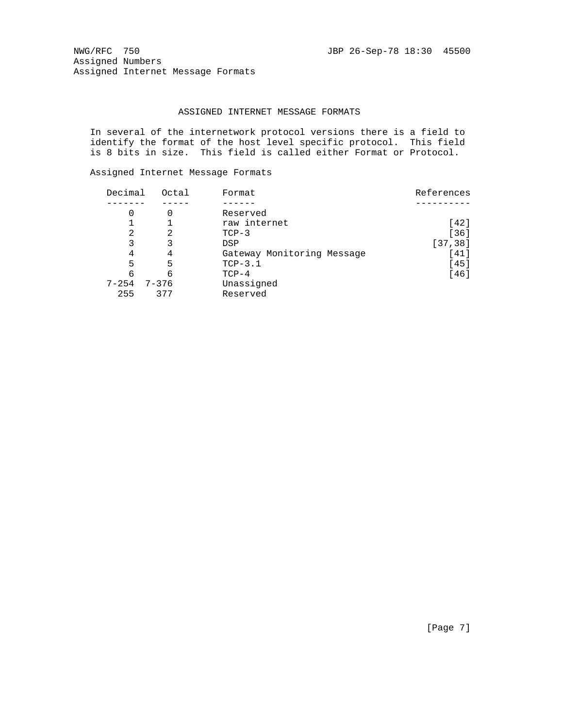NWG/RFC 750 JBP 26-Sep-78 18:30 45500 Assigned Numbers Assigned Internet Message Formats

### ASSIGNED INTERNET MESSAGE FORMATS

 In several of the internetwork protocol versions there is a field to identify the format of the host level specific protocol. This field is 8 bits in size. This field is called either Format or Protocol.

Assigned Internet Message Formats

| Decimal   | Octal     | Format                     | References |
|-----------|-----------|----------------------------|------------|
|           |           |                            |            |
| 0         | 0         | Reserved                   |            |
|           |           | raw internet               | [42]       |
| 2         | 2         | $TCP-3$                    | $[36]$     |
| 3         | 3         | <b>DSP</b>                 | [37, 38]   |
| 4         | 4         | Gateway Monitoring Message | [41]       |
| 5         | 5         | $TCP-3.1$                  | [45]       |
| 6         | 6         | $TCP-4$                    | [46]       |
| $7 - 254$ | $7 - 376$ | Unassigned                 |            |
| 255       | 377       | Reserved                   |            |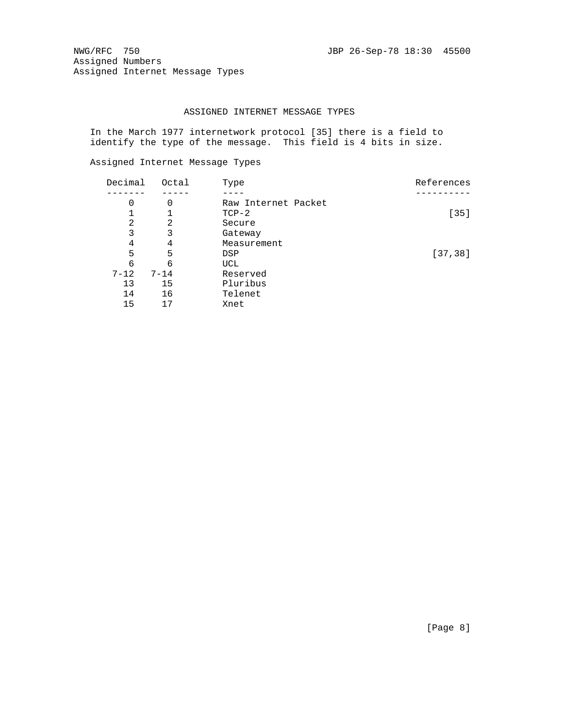NWG/RFC 750 JBP 26-Sep-78 18:30 45500 Assigned Numbers Assigned Internet Message Types

### ASSIGNED INTERNET MESSAGE TYPES

 In the March 1977 internetwork protocol [35] there is a field to identify the type of the message. This field is 4 bits in size.

Assigned Internet Message Types

| Decimal  | Octal    | Type                | References |
|----------|----------|---------------------|------------|
|          |          |                     |            |
| 0        | 0        | Raw Internet Packet |            |
|          |          | $TCP-2$             | $[35]$     |
| 2        | 2        | Secure              |            |
| 3        | 3        | Gateway             |            |
| 4        | 4        | Measurement         |            |
| 5        | 5        | <b>DSP</b>          | [37, 38]   |
| 6        | 6        | UCL                 |            |
| $7 - 12$ | $7 - 14$ | Reserved            |            |
| 13       | 15       | Pluribus            |            |
| 14       | 16       | Telenet             |            |
| 15       | 17       | Xnet                |            |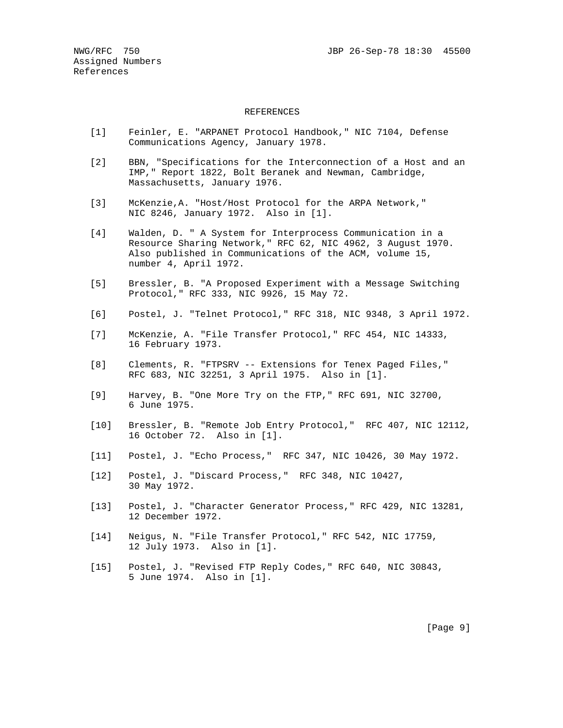#### REFERENCES

- [1] Feinler, E. "ARPANET Protocol Handbook," NIC 7104, Defense Communications Agency, January 1978.
- [2] BBN, "Specifications for the Interconnection of a Host and an IMP," Report 1822, Bolt Beranek and Newman, Cambridge, Massachusetts, January 1976.
- [3] McKenzie,A. "Host/Host Protocol for the ARPA Network," NIC 8246, January 1972. Also in [1].
- [4] Walden, D. " A System for Interprocess Communication in a Resource Sharing Network," RFC 62, NIC 4962, 3 August 1970. Also published in Communications of the ACM, volume 15, number 4, April 1972.
- [5] Bressler, B. "A Proposed Experiment with a Message Switching Protocol," RFC 333, NIC 9926, 15 May 72.
- [6] Postel, J. "Telnet Protocol," RFC 318, NIC 9348, 3 April 1972.
- [7] McKenzie, A. "File Transfer Protocol," RFC 454, NIC 14333, 16 February 1973.
- [8] Clements, R. "FTPSRV -- Extensions for Tenex Paged Files," RFC 683, NIC 32251, 3 April 1975. Also in [1].
- [9] Harvey, B. "One More Try on the FTP," RFC 691, NIC 32700, 6 June 1975.
- [10] Bressler, B. "Remote Job Entry Protocol," RFC 407, NIC 12112, 16 October 72. Also in [1].
- [11] Postel, J. "Echo Process," RFC 347, NIC 10426, 30 May 1972.
- [12] Postel, J. "Discard Process," RFC 348, NIC 10427, 30 May 1972.
- [13] Postel, J. "Character Generator Process," RFC 429, NIC 13281, 12 December 1972.
- [14] Neigus, N. "File Transfer Protocol," RFC 542, NIC 17759, 12 July 1973. Also in [1].
- [15] Postel, J. "Revised FTP Reply Codes," RFC 640, NIC 30843, 5 June 1974. Also in [1].

[Page 9]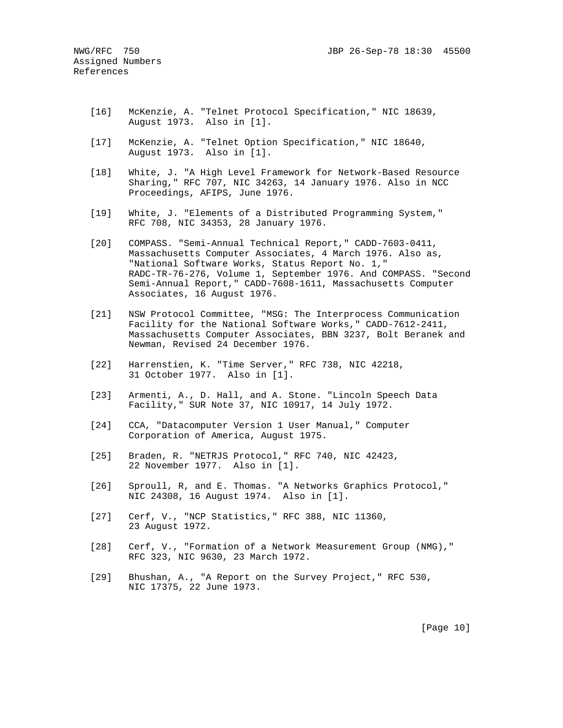- [16] McKenzie, A. "Telnet Protocol Specification," NIC 18639, August 1973. Also in [1].
- [17] McKenzie, A. "Telnet Option Specification," NIC 18640, August 1973. Also in [1].
- [18] White, J. "A High Level Framework for Network-Based Resource Sharing," RFC 707, NIC 34263, 14 January 1976. Also in NCC Proceedings, AFIPS, June 1976.
- [19] White, J. "Elements of a Distributed Programming System," RFC 708, NIC 34353, 28 January 1976.
- [20] COMPASS. "Semi-Annual Technical Report," CADD-7603-0411, Massachusetts Computer Associates, 4 March 1976. Also as, "National Software Works, Status Report No. 1," RADC-TR-76-276, Volume 1, September 1976. And COMPASS. "Second Semi-Annual Report," CADD-7608-1611, Massachusetts Computer Associates, 16 August 1976.
- [21] NSW Protocol Committee, "MSG: The Interprocess Communication Facility for the National Software Works," CADD-7612-2411, Massachusetts Computer Associates, BBN 3237, Bolt Beranek and Newman, Revised 24 December 1976.
- [22] Harrenstien, K. "Time Server," RFC 738, NIC 42218, 31 October 1977. Also in [1].
- [23] Armenti, A., D. Hall, and A. Stone. "Lincoln Speech Data Facility," SUR Note 37, NIC 10917, 14 July 1972.
- [24] CCA, "Datacomputer Version 1 User Manual," Computer Corporation of America, August 1975.
- [25] Braden, R. "NETRJS Protocol," RFC 740, NIC 42423, 22 November 1977. Also in [1].
- [26] Sproull, R, and E. Thomas. "A Networks Graphics Protocol," NIC 24308, 16 August 1974. Also in [1].
- [27] Cerf, V., "NCP Statistics," RFC 388, NIC 11360, 23 August 1972.
- [28] Cerf, V., "Formation of a Network Measurement Group (NMG)," RFC 323, NIC 9630, 23 March 1972.
- [29] Bhushan, A., "A Report on the Survey Project," RFC 530, NIC 17375, 22 June 1973.

[Page 10]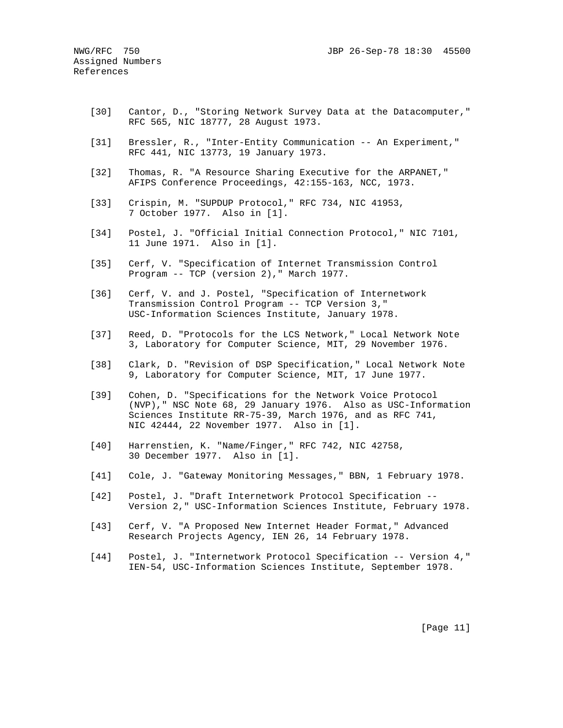- [30] Cantor, D., "Storing Network Survey Data at the Datacomputer," RFC 565, NIC 18777, 28 August 1973.
- [31] Bressler, R., "Inter-Entity Communication -- An Experiment," RFC 441, NIC 13773, 19 January 1973.
- [32] Thomas, R. "A Resource Sharing Executive for the ARPANET," AFIPS Conference Proceedings, 42:155-163, NCC, 1973.
- [33] Crispin, M. "SUPDUP Protocol," RFC 734, NIC 41953, 7 October 1977. Also in [1].
- [34] Postel, J. "Official Initial Connection Protocol," NIC 7101, 11 June 1971. Also in [1].
- [35] Cerf, V. "Specification of Internet Transmission Control Program -- TCP (version 2)," March 1977.
- [36] Cerf, V. and J. Postel, "Specification of Internetwork Transmission Control Program -- TCP Version 3," USC-Information Sciences Institute, January 1978.
- [37] Reed, D. "Protocols for the LCS Network," Local Network Note 3, Laboratory for Computer Science, MIT, 29 November 1976.
- [38] Clark, D. "Revision of DSP Specification," Local Network Note 9, Laboratory for Computer Science, MIT, 17 June 1977.
- [39] Cohen, D. "Specifications for the Network Voice Protocol (NVP)," NSC Note 68, 29 January 1976. Also as USC-Information Sciences Institute RR-75-39, March 1976, and as RFC 741, NIC 42444, 22 November 1977. Also in [1].
- [40] Harrenstien, K. "Name/Finger," RFC 742, NIC 42758, 30 December 1977. Also in [1].
- [41] Cole, J. "Gateway Monitoring Messages," BBN, 1 February 1978.
- [42] Postel, J. "Draft Internetwork Protocol Specification -- Version 2," USC-Information Sciences Institute, February 1978.
- [43] Cerf, V. "A Proposed New Internet Header Format," Advanced Research Projects Agency, IEN 26, 14 February 1978.
- [44] Postel, J. "Internetwork Protocol Specification -- Version 4," IEN-54, USC-Information Sciences Institute, September 1978.

[Page 11]